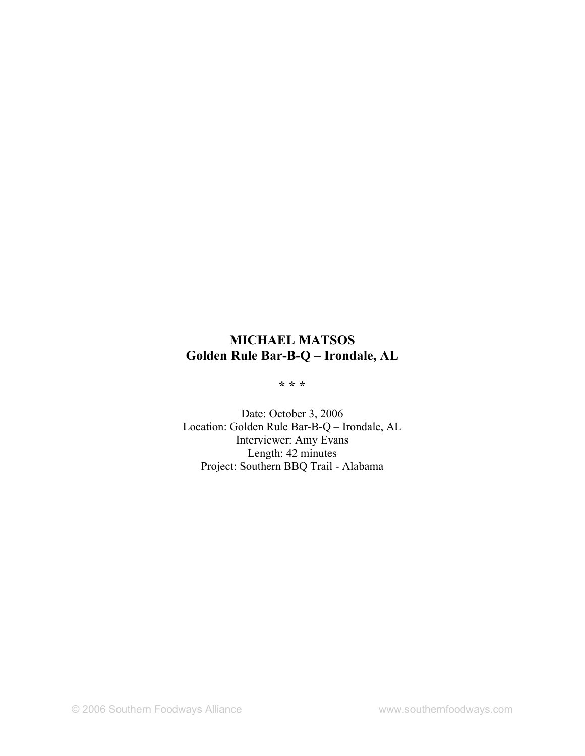# **MICHAEL MATSOS Golden Rule Bar-B-Q – Irondale, AL**

**\* \* \***

Date: October 3, 2006 Location: Golden Rule Bar-B-Q – Irondale, AL Interviewer: Amy Evans Length: 42 minutes Project: Southern BBQ Trail - Alabama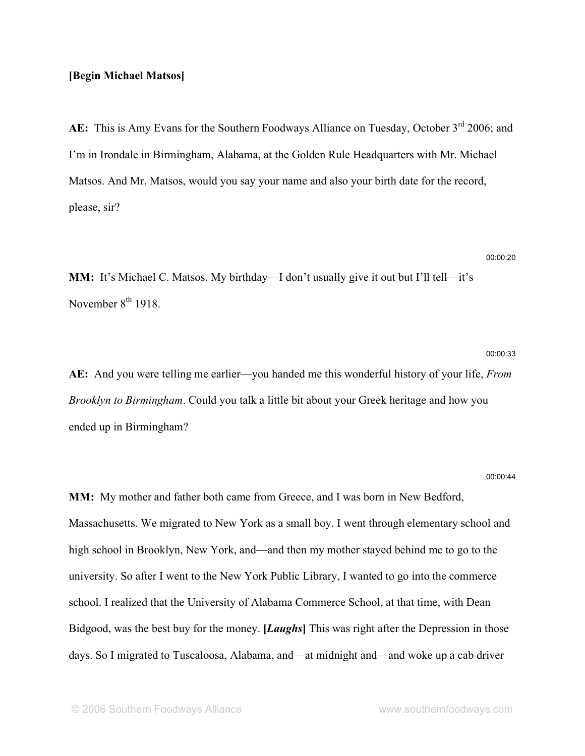### **[Begin Michael Matsos]**

AE: This is Amy Evans for the Southern Foodways Alliance on Tuesday, October 3<sup>rd</sup> 2006; and I'm in Irondale in Birmingham, Alabama, at the Golden Rule Headquarters with Mr. Michael Matsos. And Mr. Matsos, would you say your name and also your birth date for the record, please, sir?

### 00:00:20

00:00:33

**MM:** It's Michael C. Matsos. My birthday—I don't usually give it out but I'll tell—it's November 8<sup>th</sup> 1918.

**AE:** And you were telling me earlier—you handed me this wonderful history of your life, *From Brooklyn to Birmingham*. Could you talk a little bit about your Greek heritage and how you ended up in Birmingham?

#### 00:00:44

**MM:** My mother and father both came from Greece, and I was born in New Bedford, Massachusetts. We migrated to New York as a small boy. I went through elementary school and high school in Brooklyn, New York, and—and then my mother stayed behind me to go to the university. So after I went to the New York Public Library, I wanted to go into the commerce school. I realized that the University of Alabama Commerce School, at that time, with Dean Bidgood, was the best buy for the money. **[***Laughs***]** This was right after the Depression in those days. So I migrated to Tuscaloosa, Alabama, and—at midnight and—and woke up a cab driver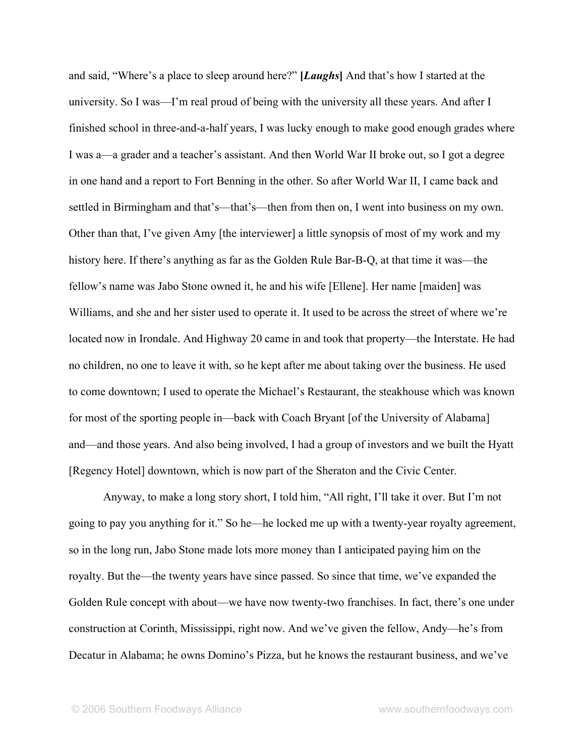and said, "Where's a place to sleep around here?" **[***Laughs***]** And that's how I started at the university. So I was—I'm real proud of being with the university all these years. And after I finished school in three-and-a-half years, I was lucky enough to make good enough grades where I was a—a grader and a teacher's assistant. And then World War II broke out, so I got a degree in one hand and a report to Fort Benning in the other. So after World War II, I came back and settled in Birmingham and that's—that's—then from then on, I went into business on my own. Other than that, I've given Amy [the interviewer] a little synopsis of most of my work and my history here. If there's anything as far as the Golden Rule Bar-B-Q, at that time it was—the fellow's name was Jabo Stone owned it, he and his wife [Ellene]. Her name [maiden] was Williams, and she and her sister used to operate it. It used to be across the street of where we're located now in Irondale. And Highway 20 came in and took that property—the Interstate. He had no children, no one to leave it with, so he kept after me about taking over the business. He used to come downtown; I used to operate the Michael's Restaurant, the steakhouse which was known for most of the sporting people in—back with Coach Bryant [of the University of Alabama] and—and those years. And also being involved, I had a group of investors and we built the Hyatt [Regency Hotel] downtown, which is now part of the Sheraton and the Civic Center.

Anyway, to make a long story short, I told him, "All right, I'll take it over. But I'm not going to pay you anything for it." So he—he locked me up with a twenty-year royalty agreement, so in the long run, Jabo Stone made lots more money than I anticipated paying him on the royalty. But the—the twenty years have since passed. So since that time, we've expanded the Golden Rule concept with about—we have now twenty-two franchises. In fact, there's one under construction at Corinth, Mississippi, right now. And we've given the fellow, Andy—he's from Decatur in Alabama; he owns Domino's Pizza, but he knows the restaurant business, and we've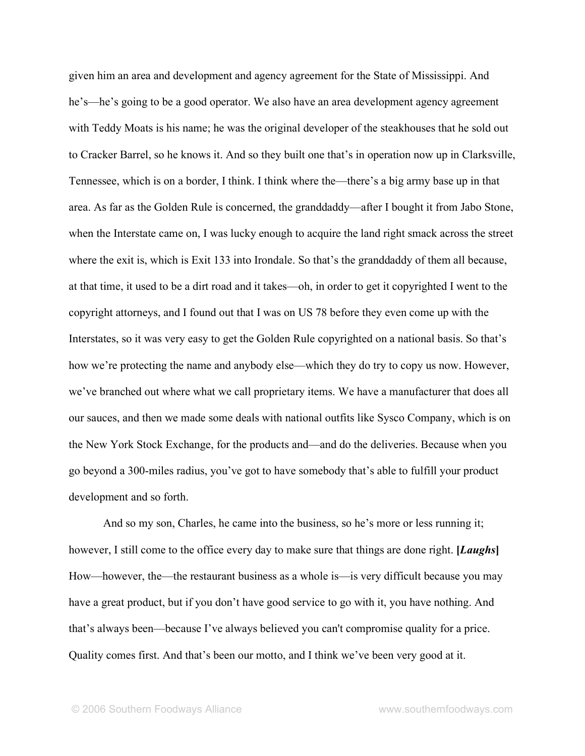given him an area and development and agency agreement for the State of Mississippi. And he's—he's going to be a good operator. We also have an area development agency agreement with Teddy Moats is his name; he was the original developer of the steakhouses that he sold out to Cracker Barrel, so he knows it. And so they built one that's in operation now up in Clarksville, Tennessee, which is on a border, I think. I think where the—there's a big army base up in that area. As far as the Golden Rule is concerned, the granddaddy—after I bought it from Jabo Stone, when the Interstate came on, I was lucky enough to acquire the land right smack across the street where the exit is, which is Exit 133 into Irondale. So that's the granddaddy of them all because, at that time, it used to be a dirt road and it takes—oh, in order to get it copyrighted I went to the copyright attorneys, and I found out that I was on US 78 before they even come up with the Interstates, so it was very easy to get the Golden Rule copyrighted on a national basis. So that's how we're protecting the name and anybody else—which they do try to copy us now. However, we've branched out where what we call proprietary items. We have a manufacturer that does all our sauces, and then we made some deals with national outfits like Sysco Company, which is on the New York Stock Exchange, for the products and—and do the deliveries. Because when you go beyond a 300-miles radius, you've got to have somebody that's able to fulfill your product development and so forth.

And so my son, Charles, he came into the business, so he's more or less running it; however, I still come to the office every day to make sure that things are done right. **[***Laughs***]** How—however, the—the restaurant business as a whole is—is very difficult because you may have a great product, but if you don't have good service to go with it, you have nothing. And that's always been—because I've always believed you can't compromise quality for a price. Quality comes first. And that's been our motto, and I think we've been very good at it.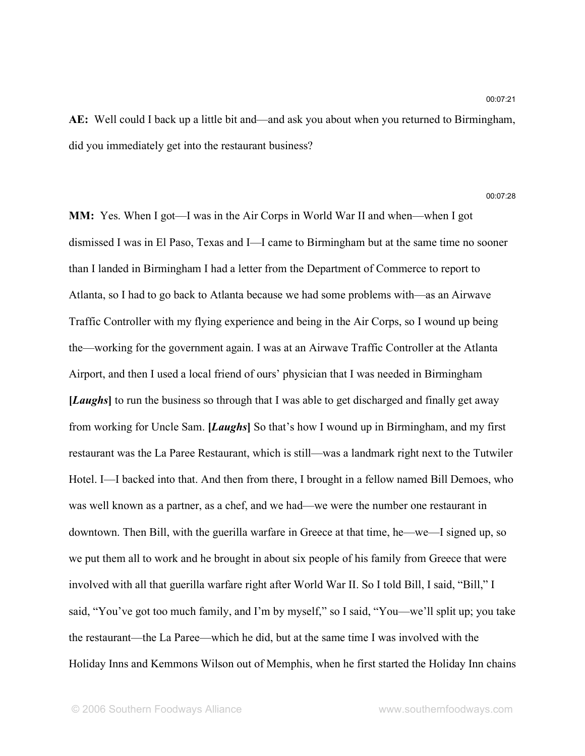**AE:** Well could I back up a little bit and—and ask you about when you returned to Birmingham, did you immediately get into the restaurant business?

00:07:28

**MM:** Yes. When I got—I was in the Air Corps in World War II and when—when I got dismissed I was in El Paso, Texas and I—I came to Birmingham but at the same time no sooner than I landed in Birmingham I had a letter from the Department of Commerce to report to Atlanta, so I had to go back to Atlanta because we had some problems with—as an Airwave Traffic Controller with my flying experience and being in the Air Corps, so I wound up being the—working for the government again. I was at an Airwave Traffic Controller at the Atlanta Airport, and then I used a local friend of ours' physician that I was needed in Birmingham **[***Laughs***]** to run the business so through that I was able to get discharged and finally get away from working for Uncle Sam. **[***Laughs***]** So that's how I wound up in Birmingham, and my first restaurant was the La Paree Restaurant, which is still—was a landmark right next to the Tutwiler Hotel. I—I backed into that. And then from there, I brought in a fellow named Bill Demoes, who was well known as a partner, as a chef, and we had—we were the number one restaurant in downtown. Then Bill, with the guerilla warfare in Greece at that time, he—we—I signed up, so we put them all to work and he brought in about six people of his family from Greece that were involved with all that guerilla warfare right after World War II. So I told Bill, I said, "Bill," I said, "You've got too much family, and I'm by myself," so I said, "You—we'll split up; you take the restaurant—the La Paree—which he did, but at the same time I was involved with the Holiday Inns and Kemmons Wilson out of Memphis, when he first started the Holiday Inn chains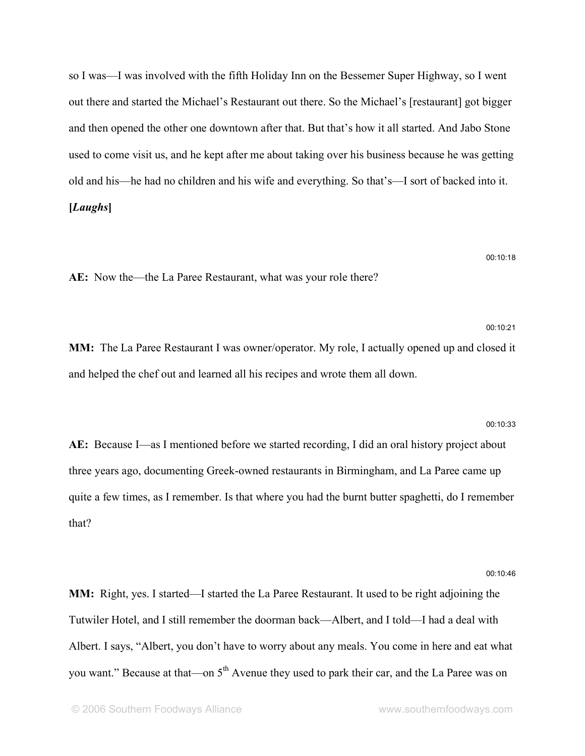so I was—I was involved with the fifth Holiday Inn on the Bessemer Super Highway, so I went out there and started the Michael's Restaurant out there. So the Michael's [restaurant] got bigger and then opened the other one downtown after that. But that's how it all started. And Jabo Stone used to come visit us, and he kept after me about taking over his business because he was getting old and his—he had no children and his wife and everything. So that's—I sort of backed into it. **[***Laughs***]**

**AE:** Now the—the La Paree Restaurant, what was your role there?

**MM:** The La Paree Restaurant I was owner/operator. My role, I actually opened up and closed it and helped the chef out and learned all his recipes and wrote them all down.

**AE:** Because I—as I mentioned before we started recording, I did an oral history project about three years ago, documenting Greek-owned restaurants in Birmingham, and La Paree came up quite a few times, as I remember. Is that where you had the burnt butter spaghetti, do I remember that?

00:10:46 **MM:** Right, yes. I started—I started the La Paree Restaurant. It used to be right adjoining the Tutwiler Hotel, and I still remember the doorman back—Albert, and I told—I had a deal with Albert. I says, "Albert, you don't have to worry about any meals. You come in here and eat what you want." Because at that—on 5<sup>th</sup> Avenue they used to park their car, and the La Paree was on

#### 00:10:33

### 00:10:18

00:10:21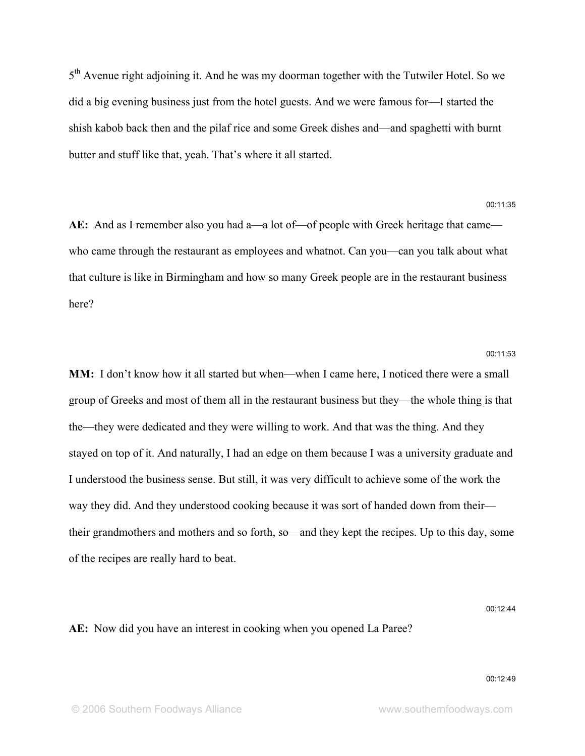5<sup>th</sup> Avenue right adjoining it. And he was my doorman together with the Tutwiler Hotel. So we did a big evening business just from the hotel guests. And we were famous for—I started the shish kabob back then and the pilaf rice and some Greek dishes and—and spaghetti with burnt butter and stuff like that, yeah. That's where it all started.

00:11:35

**AE:** And as I remember also you had a—a lot of—of people with Greek heritage that came who came through the restaurant as employees and whatnot. Can you—can you talk about what that culture is like in Birmingham and how so many Greek people are in the restaurant business here?

### 00:11:53

**MM:** I don't know how it all started but when—when I came here, I noticed there were a small group of Greeks and most of them all in the restaurant business but they—the whole thing is that the—they were dedicated and they were willing to work. And that was the thing. And they stayed on top of it. And naturally, I had an edge on them because I was a university graduate and I understood the business sense. But still, it was very difficult to achieve some of the work the way they did. And they understood cooking because it was sort of handed down from their their grandmothers and mothers and so forth, so—and they kept the recipes. Up to this day, some of the recipes are really hard to beat.

### 00:12:44

**AE:** Now did you have an interest in cooking when you opened La Paree?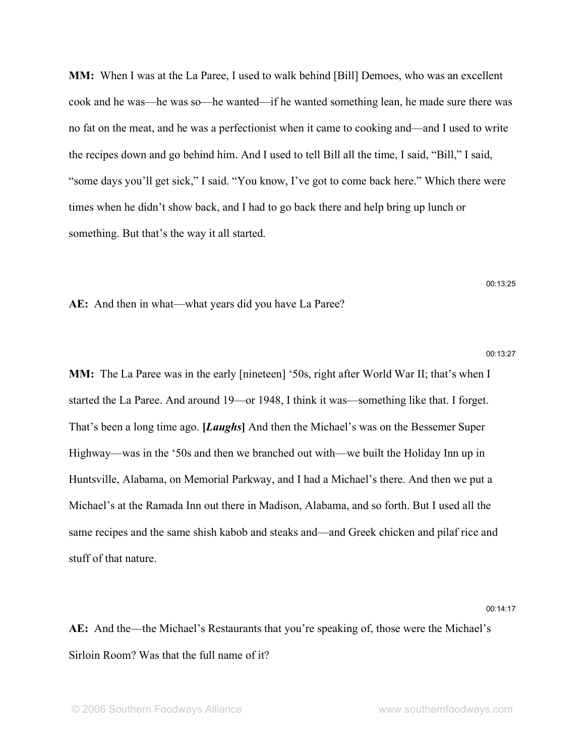**MM:** When I was at the La Paree, I used to walk behind [Bill] Demoes, who was an excellent cook and he was—he was so—he wanted—if he wanted something lean, he made sure there was no fat on the meat, and he was a perfectionist when it came to cooking and—and I used to write the recipes down and go behind him. And I used to tell Bill all the time, I said, "Bill," I said, "some days you'll get sick," I said. "You know, I've got to come back here." Which there were times when he didn't show back, and I had to go back there and help bring up lunch or something. But that's the way it all started.

**AE:** And then in what—what years did you have La Paree?

#### 00:13:27

**MM:** The La Paree was in the early [nineteen] '50s, right after World War II; that's when I started the La Paree. And around 19—or 1948, I think it was—something like that. I forget. That's been a long time ago. **[***Laughs***]** And then the Michael's was on the Bessemer Super Highway—was in the '50s and then we branched out with—we built the Holiday Inn up in Huntsville, Alabama, on Memorial Parkway, and I had a Michael's there. And then we put a Michael's at the Ramada Inn out there in Madison, Alabama, and so forth. But I used all the same recipes and the same shish kabob and steaks and—and Greek chicken and pilaf rice and stuff of that nature.

### 00:14:17

**AE:** And the—the Michael's Restaurants that you're speaking of, those were the Michael's Sirloin Room? Was that the full name of it?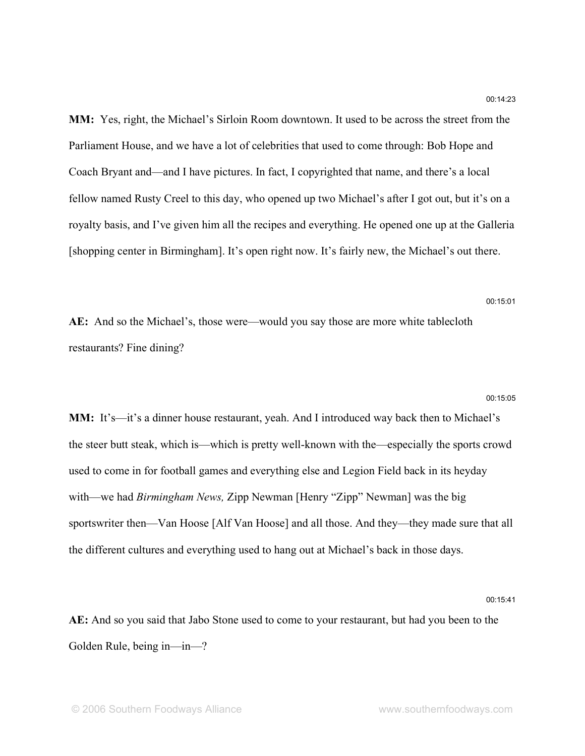**MM:** Yes, right, the Michael's Sirloin Room downtown. It used to be across the street from the Parliament House, and we have a lot of celebrities that used to come through: Bob Hope and Coach Bryant and—and I have pictures. In fact, I copyrighted that name, and there's a local fellow named Rusty Creel to this day, who opened up two Michael's after I got out, but it's on a royalty basis, and I've given him all the recipes and everything. He opened one up at the Galleria [shopping center in Birmingham]. It's open right now. It's fairly new, the Michael's out there.

**AE:** And so the Michael's, those were—would you say those are more white tablecloth restaurants? Fine dining?

### 00:15:05

00:15:01

**MM:** It's—it's a dinner house restaurant, yeah. And I introduced way back then to Michael's the steer butt steak, which is—which is pretty well-known with the—especially the sports crowd used to come in for football games and everything else and Legion Field back in its heyday with—we had *Birmingham News,* Zipp Newman [Henry "Zipp" Newman] was the big sportswriter then—Van Hoose [Alf Van Hoose] and all those. And they—they made sure that all the different cultures and everything used to hang out at Michael's back in those days.

### 00:15:41

**AE:** And so you said that Jabo Stone used to come to your restaurant, but had you been to the Golden Rule, being in—in—?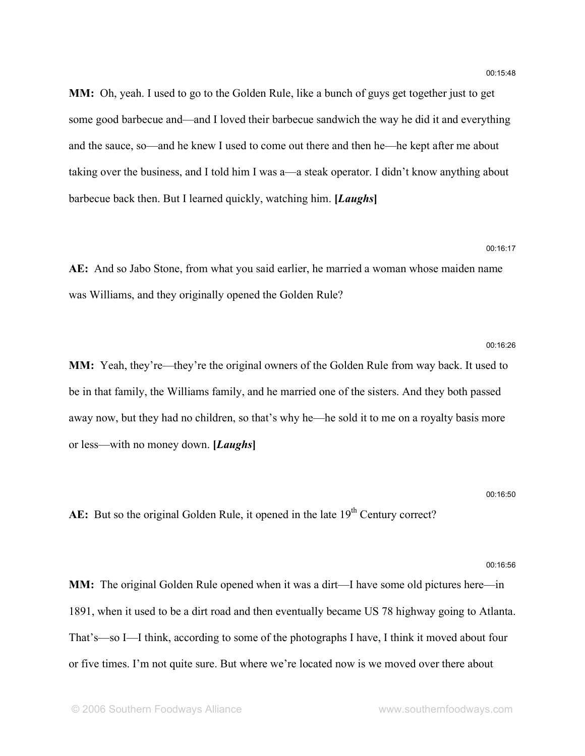**MM:** Oh, yeah. I used to go to the Golden Rule, like a bunch of guys get together just to get some good barbecue and—and I loved their barbecue sandwich the way he did it and everything and the sauce, so—and he knew I used to come out there and then he—he kept after me about taking over the business, and I told him I was a—a steak operator. I didn't know anything about barbecue back then. But I learned quickly, watching him. **[***Laughs***]**

### 00:16:17

**AE:** And so Jabo Stone, from what you said earlier, he married a woman whose maiden name was Williams, and they originally opened the Golden Rule?

**MM:** Yeah, they're—they're the original owners of the Golden Rule from way back. It used to be in that family, the Williams family, and he married one of the sisters. And they both passed away now, but they had no children, so that's why he—he sold it to me on a royalty basis more or less—with no money down. **[***Laughs***]**

### 00:16:50

AE: But so the original Golden Rule, it opened in the late 19<sup>th</sup> Century correct?

#### 00:16:56

**MM:** The original Golden Rule opened when it was a dirt—I have some old pictures here—in 1891, when it used to be a dirt road and then eventually became US 78 highway going to Atlanta. That's—so I—I think, according to some of the photographs I have, I think it moved about four or five times. I'm not quite sure. But where we're located now is we moved over there about

## 00:16:26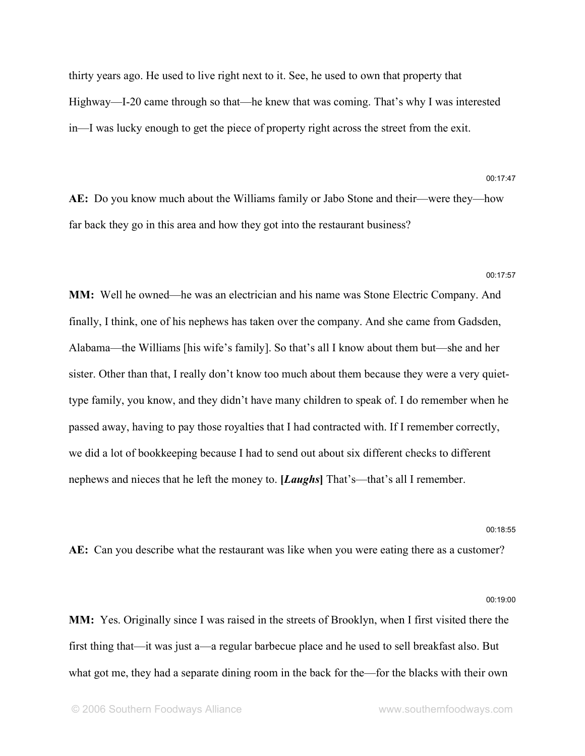thirty years ago. He used to live right next to it. See, he used to own that property that Highway—I-20 came through so that—he knew that was coming. That's why I was interested in—I was lucky enough to get the piece of property right across the street from the exit.

**AE:** Do you know much about the Williams family or Jabo Stone and their—were they—how far back they go in this area and how they got into the restaurant business?

### 00:17:57

00:17:47

**MM:** Well he owned—he was an electrician and his name was Stone Electric Company. And finally, I think, one of his nephews has taken over the company. And she came from Gadsden, Alabama—the Williams [his wife's family]. So that's all I know about them but—she and her sister. Other than that, I really don't know too much about them because they were a very quiettype family, you know, and they didn't have many children to speak of. I do remember when he passed away, having to pay those royalties that I had contracted with. If I remember correctly, we did a lot of bookkeeping because I had to send out about six different checks to different nephews and nieces that he left the money to. **[***Laughs***]** That's—that's all I remember.

### 00:18:55

**AE:** Can you describe what the restaurant was like when you were eating there as a customer?

00:19:00

**MM:** Yes. Originally since I was raised in the streets of Brooklyn, when I first visited there the first thing that—it was just a—a regular barbecue place and he used to sell breakfast also. But what got me, they had a separate dining room in the back for the—for the blacks with their own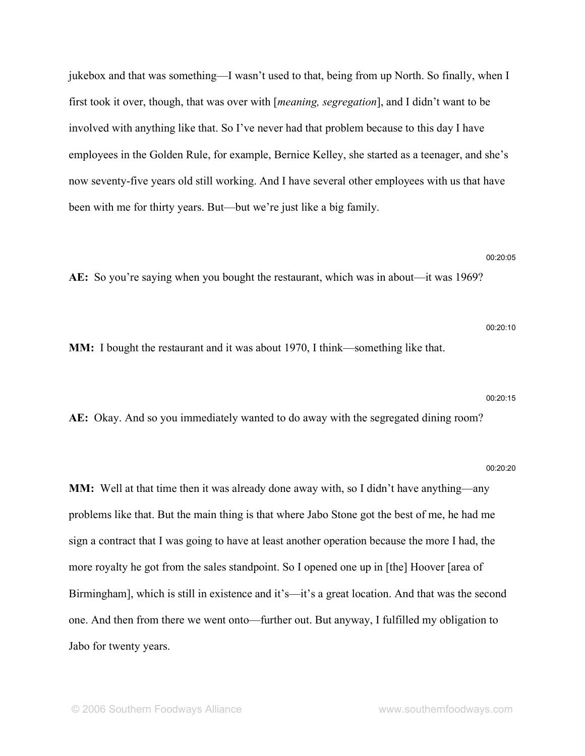jukebox and that was something—I wasn't used to that, being from up North. So finally, when I first took it over, though, that was over with [*meaning, segregation*], and I didn't want to be involved with anything like that. So I've never had that problem because to this day I have employees in the Golden Rule, for example, Bernice Kelley, she started as a teenager, and she's now seventy-five years old still working. And I have several other employees with us that have been with me for thirty years. But—but we're just like a big family.

### 00:20:05

**AE:** So you're saying when you bought the restaurant, which was in about—it was 1969?

00:20:10

**MM:** I bought the restaurant and it was about 1970, I think—something like that.

#### 00:20:15

**AE:** Okay. And so you immediately wanted to do away with the segregated dining room?

### 00:20:20

**MM:** Well at that time then it was already done away with, so I didn't have anything—any problems like that. But the main thing is that where Jabo Stone got the best of me, he had me sign a contract that I was going to have at least another operation because the more I had, the more royalty he got from the sales standpoint. So I opened one up in [the] Hoover [area of Birmingham], which is still in existence and it's—it's a great location. And that was the second one. And then from there we went onto—further out. But anyway, I fulfilled my obligation to Jabo for twenty years.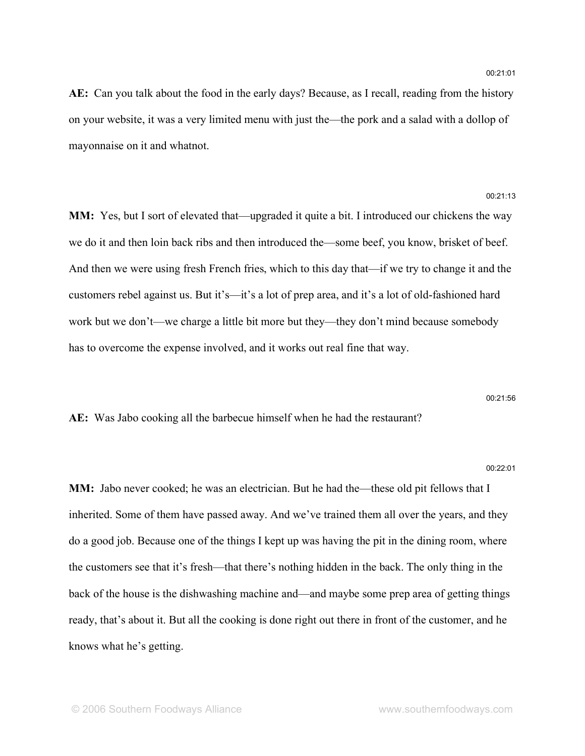**AE:** Can you talk about the food in the early days? Because, as I recall, reading from the history on your website, it was a very limited menu with just the—the pork and a salad with a dollop of mayonnaise on it and whatnot.

### 00:21:13

**MM:** Yes, but I sort of elevated that—upgraded it quite a bit. I introduced our chickens the way we do it and then loin back ribs and then introduced the—some beef, you know, brisket of beef. And then we were using fresh French fries, which to this day that—if we try to change it and the customers rebel against us. But it's—it's a lot of prep area, and it's a lot of old-fashioned hard work but we don't—we charge a little bit more but they—they don't mind because somebody has to overcome the expense involved, and it works out real fine that way.

### 00:21:56

**AE:** Was Jabo cooking all the barbecue himself when he had the restaurant?

#### 00:22:01

**MM:** Jabo never cooked; he was an electrician. But he had the—these old pit fellows that I inherited. Some of them have passed away. And we've trained them all over the years, and they do a good job. Because one of the things I kept up was having the pit in the dining room, where the customers see that it's fresh—that there's nothing hidden in the back. The only thing in the back of the house is the dishwashing machine and—and maybe some prep area of getting things ready, that's about it. But all the cooking is done right out there in front of the customer, and he knows what he's getting.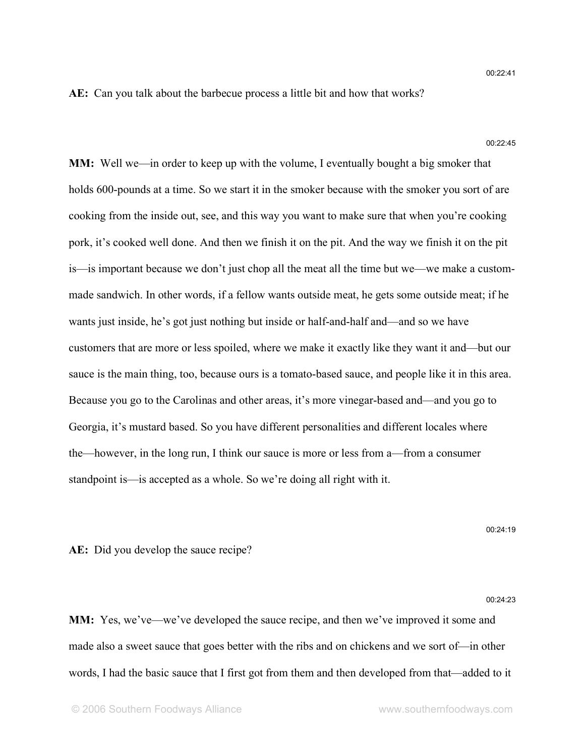**AE:** Can you talk about the barbecue process a little bit and how that works?

### 00:22:45

**MM:** Well we—in order to keep up with the volume, I eventually bought a big smoker that holds 600-pounds at a time. So we start it in the smoker because with the smoker you sort of are cooking from the inside out, see, and this way you want to make sure that when you're cooking pork, it's cooked well done. And then we finish it on the pit. And the way we finish it on the pit is—is important because we don't just chop all the meat all the time but we—we make a custommade sandwich. In other words, if a fellow wants outside meat, he gets some outside meat; if he wants just inside, he's got just nothing but inside or half-and-half and—and so we have customers that are more or less spoiled, where we make it exactly like they want it and—but our sauce is the main thing, too, because ours is a tomato-based sauce, and people like it in this area. Because you go to the Carolinas and other areas, it's more vinegar-based and—and you go to Georgia, it's mustard based. So you have different personalities and different locales where the—however, in the long run, I think our sauce is more or less from a—from a consumer standpoint is—is accepted as a whole. So we're doing all right with it.

00:24:19

**AE:** Did you develop the sauce recipe?

### 00:24:23

**MM:** Yes, we've—we've developed the sauce recipe, and then we've improved it some and made also a sweet sauce that goes better with the ribs and on chickens and we sort of—in other words, I had the basic sauce that I first got from them and then developed from that—added to it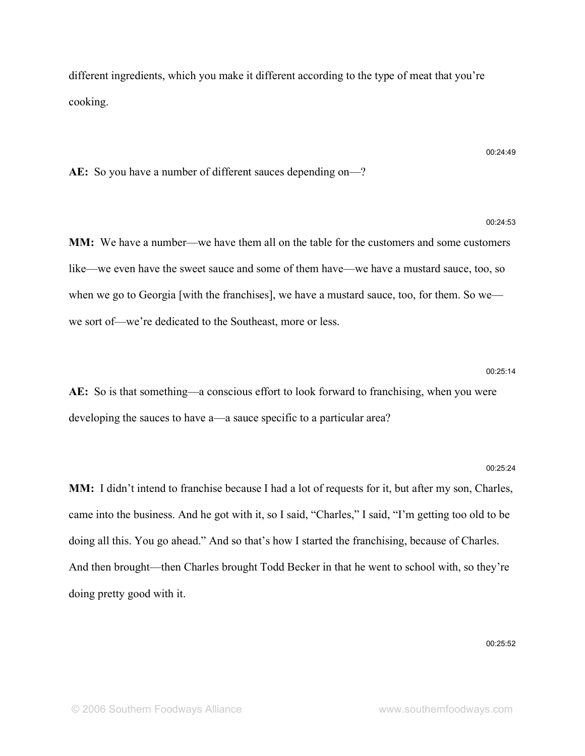different ingredients, which you make it different according to the type of meat that you're cooking.

### **AE:** So you have a number of different sauces depending on—?

00:24:53

00:24:49

**MM:** We have a number—we have them all on the table for the customers and some customers like—we even have the sweet sauce and some of them have—we have a mustard sauce, too, so when we go to Georgia [with the franchises], we have a mustard sauce, too, for them. So we we sort of—we're dedicated to the Southeast, more or less.

### 00:25:14

**AE:** So is that something—a conscious effort to look forward to franchising, when you were developing the sauces to have a—a sauce specific to a particular area?

### 00:25:24

**MM:** I didn't intend to franchise because I had a lot of requests for it, but after my son, Charles, came into the business. And he got with it, so I said, "Charles," I said, "I'm getting too old to be doing all this. You go ahead." And so that's how I started the franchising, because of Charles. And then brought—then Charles brought Todd Becker in that he went to school with, so they're doing pretty good with it.

00:25:52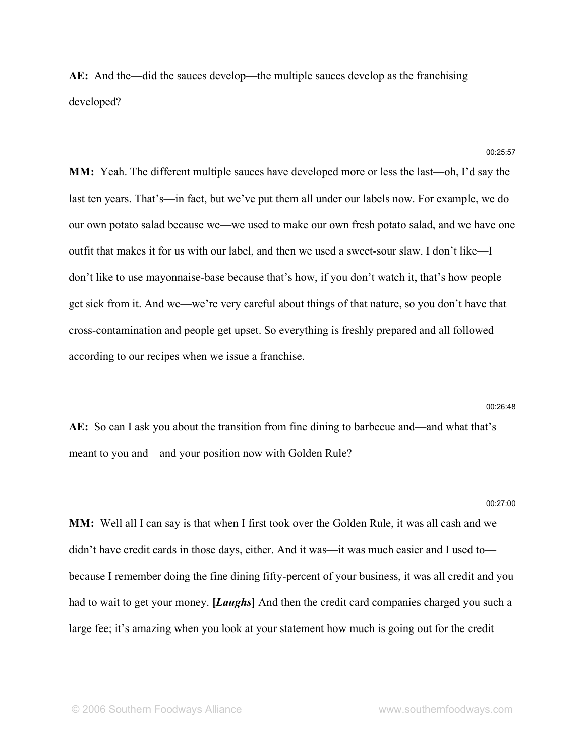**AE:** And the—did the sauces develop—the multiple sauces develop as the franchising developed?

**MM:** Yeah. The different multiple sauces have developed more or less the last—oh, I'd say the last ten years. That's—in fact, but we've put them all under our labels now. For example, we do our own potato salad because we—we used to make our own fresh potato salad, and we have one outfit that makes it for us with our label, and then we used a sweet-sour slaw. I don't like—I don't like to use mayonnaise-base because that's how, if you don't watch it, that's how people get sick from it. And we—we're very careful about things of that nature, so you don't have that cross-contamination and people get upset. So everything is freshly prepared and all followed according to our recipes when we issue a franchise.

#### 00:26:48

**AE:** So can I ask you about the transition from fine dining to barbecue and—and what that's meant to you and—and your position now with Golden Rule?

### 00:27:00

**MM:** Well all I can say is that when I first took over the Golden Rule, it was all cash and we didn't have credit cards in those days, either. And it was—it was much easier and I used to because I remember doing the fine dining fifty-percent of your business, it was all credit and you had to wait to get your money. **[***Laughs***]** And then the credit card companies charged you such a large fee; it's amazing when you look at your statement how much is going out for the credit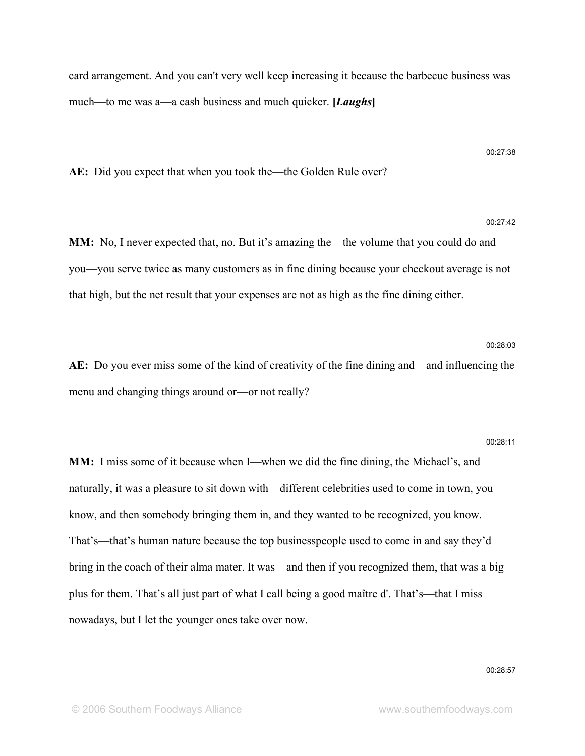card arrangement. And you can't very well keep increasing it because the barbecue business was much—to me was a—a cash business and much quicker. **[***Laughs***]**

**AE:** Did you expect that when you took the—the Golden Rule over?

### 00:27:42

**MM:** No, I never expected that, no. But it's amazing the—the volume that you could do and you—you serve twice as many customers as in fine dining because your checkout average is not that high, but the net result that your expenses are not as high as the fine dining either.

**AE:** Do you ever miss some of the kind of creativity of the fine dining and—and influencing the menu and changing things around or—or not really?

### 00:28:11

00:28:03

**MM:** I miss some of it because when I—when we did the fine dining, the Michael's, and naturally, it was a pleasure to sit down with—different celebrities used to come in town, you know, and then somebody bringing them in, and they wanted to be recognized, you know. That's—that's human nature because the top businesspeople used to come in and say they'd bring in the coach of their alma mater. It was—and then if you recognized them, that was a big plus for them. That's all just part of what I call being a good maître d'. That's—that I miss nowadays, but I let the younger ones take over now.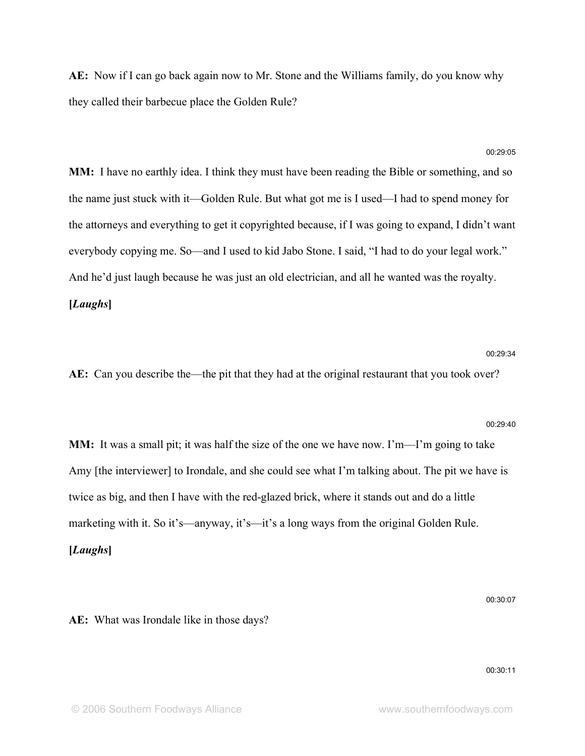**AE:** Now if I can go back again now to Mr. Stone and the Williams family, do you know why they called their barbecue place the Golden Rule?

**MM:** I have no earthly idea. I think they must have been reading the Bible or something, and so the name just stuck with it—Golden Rule. But what got me is I used—I had to spend money for the attorneys and everything to get it copyrighted because, if I was going to expand, I didn't want everybody copying me. So—and I used to kid Jabo Stone. I said, "I had to do your legal work." And he'd just laugh because he was just an old electrician, and all he wanted was the royalty. **[***Laughs***]**

### 00:29:34

**AE:** Can you describe the—the pit that they had at the original restaurant that you took over?

### 00:29:40

**MM:** It was a small pit; it was half the size of the one we have now. I'm—I'm going to take Amy [the interviewer] to Irondale, and she could see what I'm talking about. The pit we have is twice as big, and then I have with the red-glazed brick, where it stands out and do a little marketing with it. So it's—anyway, it's—it's a long ways from the original Golden Rule. **[***Laughs***]**

**AE:** What was Irondale like in those days?

00:30:11

00:30:07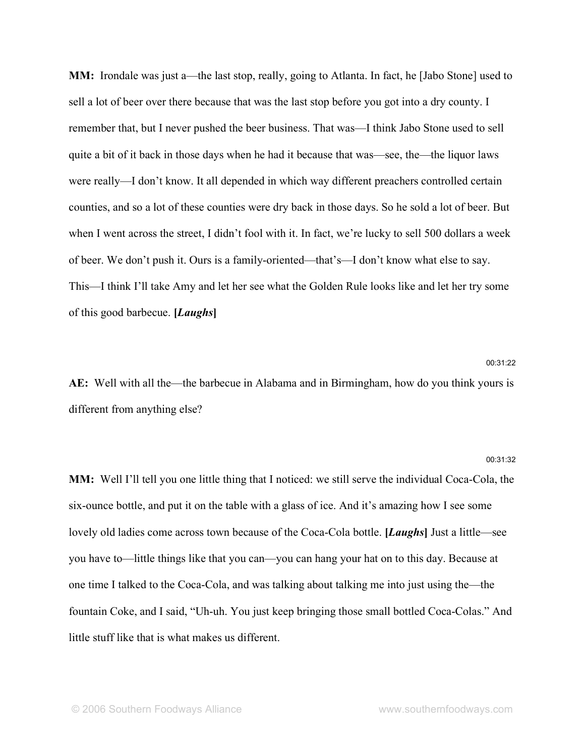**MM:** Irondale was just a—the last stop, really, going to Atlanta. In fact, he [Jabo Stone] used to sell a lot of beer over there because that was the last stop before you got into a dry county. I remember that, but I never pushed the beer business. That was—I think Jabo Stone used to sell quite a bit of it back in those days when he had it because that was—see, the—the liquor laws were really—I don't know. It all depended in which way different preachers controlled certain counties, and so a lot of these counties were dry back in those days. So he sold a lot of beer. But when I went across the street, I didn't fool with it. In fact, we're lucky to sell 500 dollars a week of beer. We don't push it. Ours is a family-oriented—that's—I don't know what else to say. This—I think I'll take Amy and let her see what the Golden Rule looks like and let her try some of this good barbecue. **[***Laughs***]**

**AE:** Well with all the—the barbecue in Alabama and in Birmingham, how do you think yours is different from anything else?

### 00:31:32

00:31:22

**MM:** Well I'll tell you one little thing that I noticed: we still serve the individual Coca-Cola, the six-ounce bottle, and put it on the table with a glass of ice. And it's amazing how I see some lovely old ladies come across town because of the Coca-Cola bottle. **[***Laughs***]** Just a little—see you have to—little things like that you can—you can hang your hat on to this day. Because at one time I talked to the Coca-Cola, and was talking about talking me into just using the—the fountain Coke, and I said, "Uh-uh. You just keep bringing those small bottled Coca-Colas." And little stuff like that is what makes us different.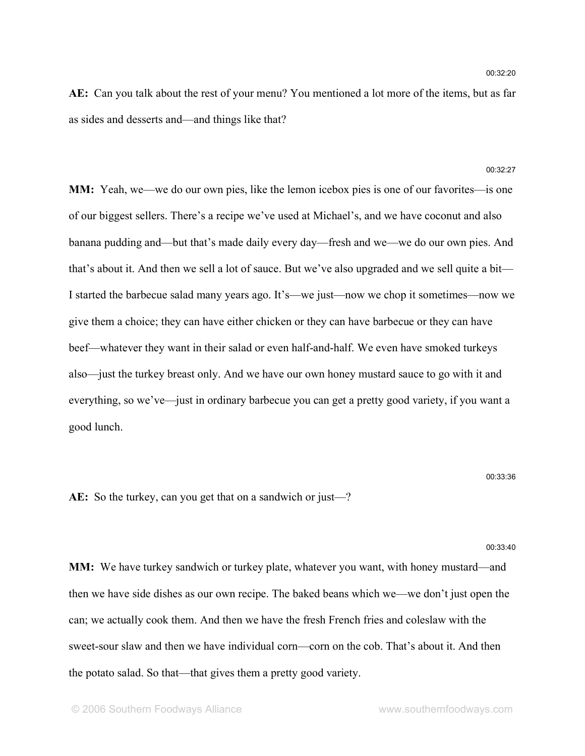**AE:** Can you talk about the rest of your menu? You mentioned a lot more of the items, but as far as sides and desserts and—and things like that?

#### 00:32:27

**MM:** Yeah, we—we do our own pies, like the lemon icebox pies is one of our favorites—is one of our biggest sellers. There's a recipe we've used at Michael's, and we have coconut and also banana pudding and—but that's made daily every day—fresh and we—we do our own pies. And that's about it. And then we sell a lot of sauce. But we've also upgraded and we sell quite a bit— I started the barbecue salad many years ago. It's—we just—now we chop it sometimes—now we give them a choice; they can have either chicken or they can have barbecue or they can have beef—whatever they want in their salad or even half-and-half. We even have smoked turkeys also—just the turkey breast only. And we have our own honey mustard sauce to go with it and everything, so we've—just in ordinary barbecue you can get a pretty good variety, if you want a good lunch.

#### 00:33:36

**AE:** So the turkey, can you get that on a sandwich or just—?

#### 00:33:40

**MM:** We have turkey sandwich or turkey plate, whatever you want, with honey mustard—and then we have side dishes as our own recipe. The baked beans which we—we don't just open the can; we actually cook them. And then we have the fresh French fries and coleslaw with the sweet-sour slaw and then we have individual corn—corn on the cob. That's about it. And then the potato salad. So that—that gives them a pretty good variety.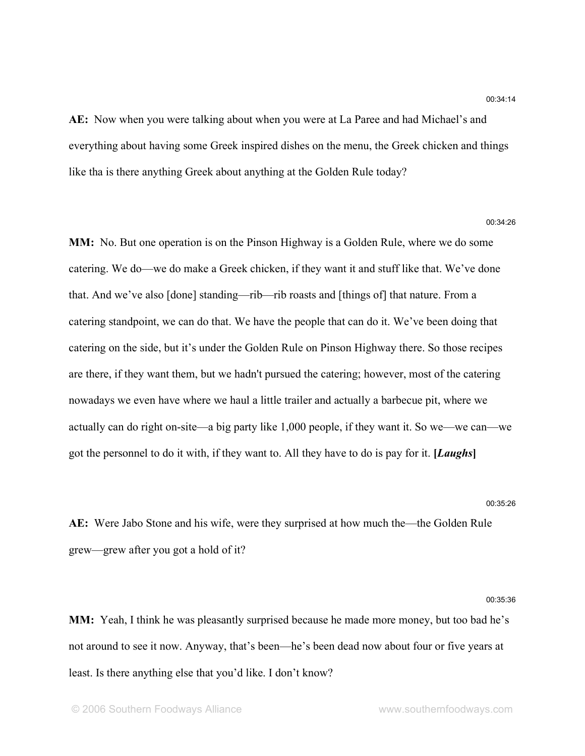**AE:** Now when you were talking about when you were at La Paree and had Michael's and everything about having some Greek inspired dishes on the menu, the Greek chicken and things like tha is there anything Greek about anything at the Golden Rule today?

**MM:** No. But one operation is on the Pinson Highway is a Golden Rule, where we do some catering. We do—we do make a Greek chicken, if they want it and stuff like that. We've done that. And we've also [done] standing—rib—rib roasts and [things of] that nature. From a catering standpoint, we can do that. We have the people that can do it. We've been doing that catering on the side, but it's under the Golden Rule on Pinson Highway there. So those recipes are there, if they want them, but we hadn't pursued the catering; however, most of the catering nowadays we even have where we haul a little trailer and actually a barbecue pit, where we actually can do right on-site—a big party like 1,000 people, if they want it. So we—we can—we got the personnel to do it with, if they want to. All they have to do is pay for it. **[***Laughs***]**

### 00:35:26

00:35:36

**AE:** Were Jabo Stone and his wife, were they surprised at how much the—the Golden Rule grew—grew after you got a hold of it?

**MM:** Yeah, I think he was pleasantly surprised because he made more money, but too bad he's not around to see it now. Anyway, that's been—he's been dead now about four or five years at least. Is there anything else that you'd like. I don't know?

00:34:26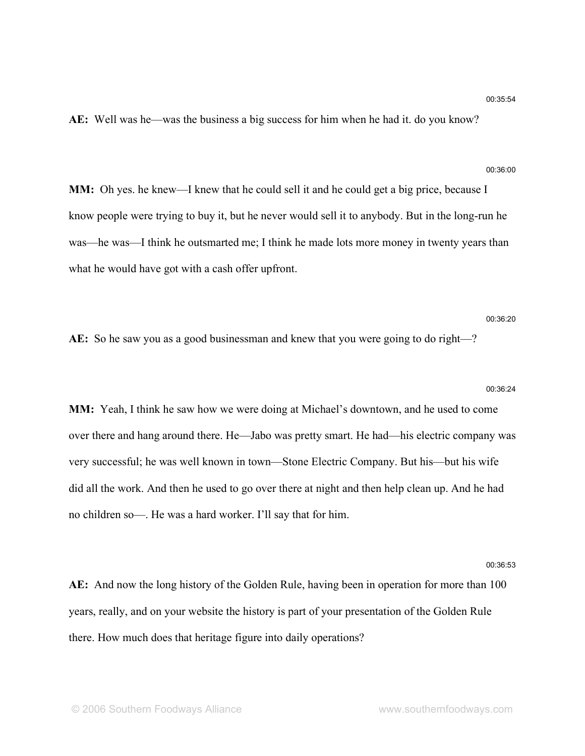**AE:** Well was he—was the business a big success for him when he had it. do you know?

### 00:36:00

**MM:** Oh yes. he knew—I knew that he could sell it and he could get a big price, because I know people were trying to buy it, but he never would sell it to anybody. But in the long-run he was—he was—I think he outsmarted me; I think he made lots more money in twenty years than what he would have got with a cash offer upfront.

### 00:36:20

**AE:** So he saw you as a good businessman and knew that you were going to do right—?

# 00:36:24 **MM:** Yeah, I think he saw how we were doing at Michael's downtown, and he used to come

over there and hang around there. He—Jabo was pretty smart. He had—his electric company was very successful; he was well known in town—Stone Electric Company. But his—but his wife did all the work. And then he used to go over there at night and then help clean up. And he had no children so—. He was a hard worker. I'll say that for him.

#### 00:36:53

**AE:** And now the long history of the Golden Rule, having been in operation for more than 100 years, really, and on your website the history is part of your presentation of the Golden Rule there. How much does that heritage figure into daily operations?

### 00:35:54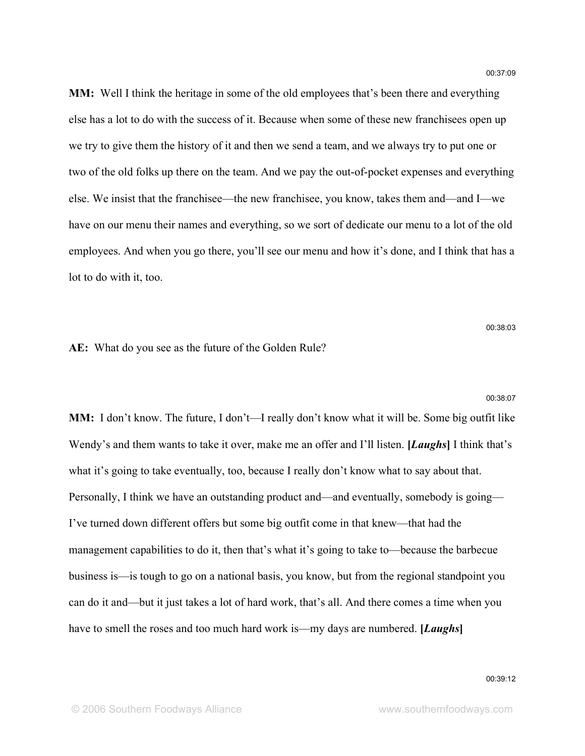**MM:** Well I think the heritage in some of the old employees that's been there and everything else has a lot to do with the success of it. Because when some of these new franchisees open up we try to give them the history of it and then we send a team, and we always try to put one or two of the old folks up there on the team. And we pay the out-of-pocket expenses and everything else. We insist that the franchisee—the new franchisee, you know, takes them and—and I—we have on our menu their names and everything, so we sort of dedicate our menu to a lot of the old employees. And when you go there, you'll see our menu and how it's done, and I think that has a lot to do with it, too.

00:38:03

00:38:07

**AE:** What do you see as the future of the Golden Rule?

**MM:** I don't know. The future, I don't—I really don't know what it will be. Some big outfit like Wendy's and them wants to take it over, make me an offer and I'll listen. **[***Laughs***]** I think that's what it's going to take eventually, too, because I really don't know what to say about that. Personally, I think we have an outstanding product and—and eventually, somebody is going— I've turned down different offers but some big outfit come in that knew—that had the management capabilities to do it, then that's what it's going to take to—because the barbecue business is—is tough to go on a national basis, you know, but from the regional standpoint you can do it and—but it just takes a lot of hard work, that's all. And there comes a time when you have to smell the roses and too much hard work is—my days are numbered. **[***Laughs***]**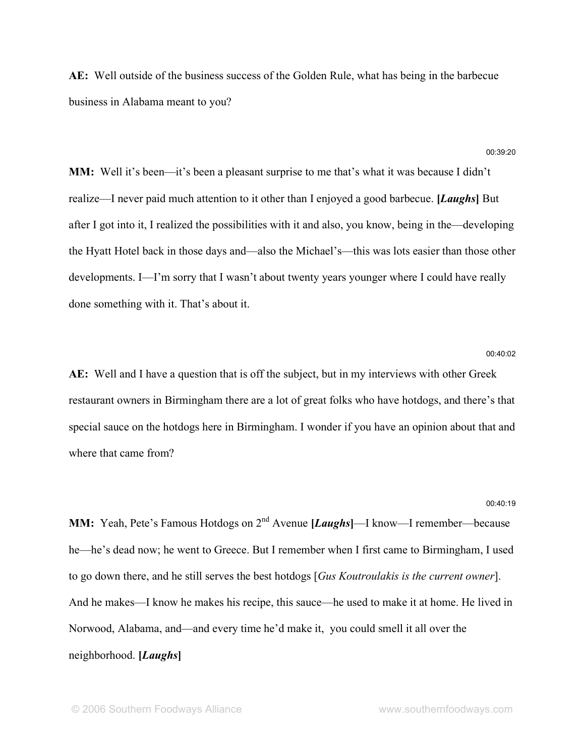**AE:** Well outside of the business success of the Golden Rule, what has being in the barbecue business in Alabama meant to you?

### 00:39:20

**MM:** Well it's been—it's been a pleasant surprise to me that's what it was because I didn't realize—I never paid much attention to it other than I enjoyed a good barbecue. **[***Laughs***]** But after I got into it, I realized the possibilities with it and also, you know, being in the—developing the Hyatt Hotel back in those days and—also the Michael's—this was lots easier than those other developments. I—I'm sorry that I wasn't about twenty years younger where I could have really done something with it. That's about it.

### 00:40:02

**AE:** Well and I have a question that is off the subject, but in my interviews with other Greek restaurant owners in Birmingham there are a lot of great folks who have hotdogs, and there's that special sauce on the hotdogs here in Birmingham. I wonder if you have an opinion about that and where that came from?

#### 00:40:19

**MM:** Yeah, Pete's Famous Hotdogs on 2<sup>nd</sup> Avenue [*Laughs*]—I know—I remember—because he—he's dead now; he went to Greece. But I remember when I first came to Birmingham, I used to go down there, and he still serves the best hotdogs [*Gus Koutroulakis is the current owner*]. And he makes—I know he makes his recipe, this sauce—he used to make it at home. He lived in Norwood, Alabama, and—and every time he'd make it, you could smell it all over the neighborhood. **[***Laughs***]**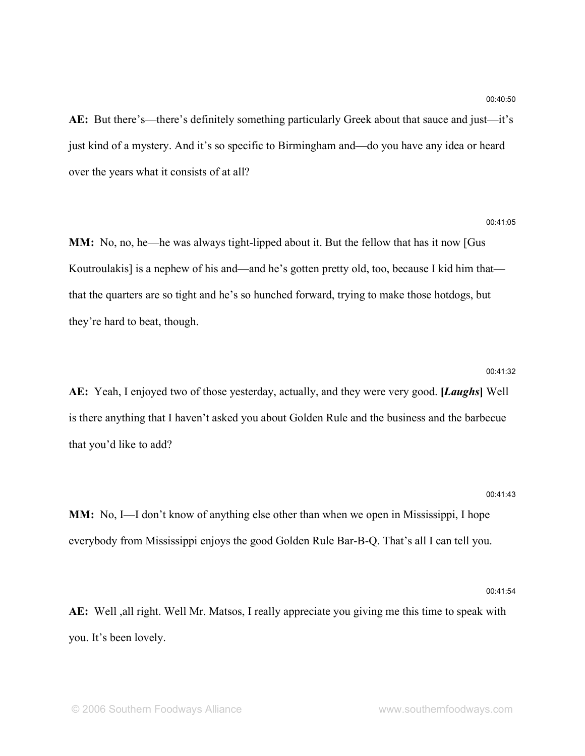**AE:** But there's—there's definitely something particularly Greek about that sauce and just—it's just kind of a mystery. And it's so specific to Birmingham and—do you have any idea or heard over the years what it consists of at all?

**MM:** No, no, he—he was always tight-lipped about it. But the fellow that has it now [Gus Koutroulakis] is a nephew of his and—and he's gotten pretty old, too, because I kid him that that the quarters are so tight and he's so hunched forward, trying to make those hotdogs, but they're hard to beat, though.

### 00:41:32

**AE:** Yeah, I enjoyed two of those yesterday, actually, and they were very good. **[***Laughs***]** Well is there anything that I haven't asked you about Golden Rule and the business and the barbecue that you'd like to add?

### 00:41:43

**MM:** No, I—I don't know of anything else other than when we open in Mississippi, I hope everybody from Mississippi enjoys the good Golden Rule Bar-B-Q. That's all I can tell you.

00:41:54

**AE:** Well ,all right. Well Mr. Matsos, I really appreciate you giving me this time to speak with you. It's been lovely.

00:41:05